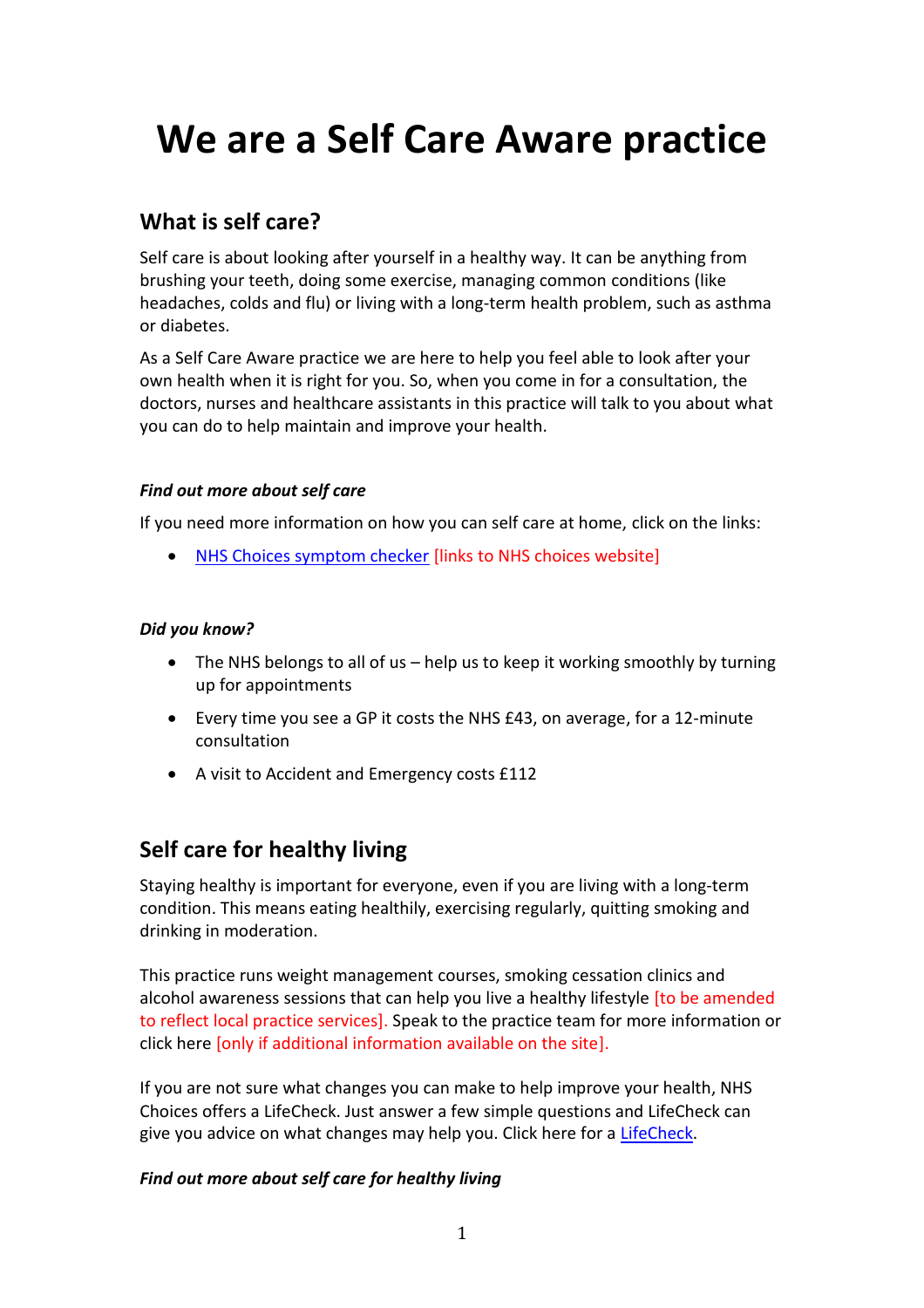# **We are a Self Care Aware practice**

## **What is self care?**

Self care is about looking after yourself in a healthy way. It can be anything from brushing your teeth, doing some exercise, managing common conditions (like headaches, colds and flu) or living with a long-term health problem, such as asthma or diabetes.

As a Self Care Aware practice we are here to help you feel able to look after your own health when it is right for you. So, when you come in for a consultation, the doctors, nurses and healthcare assistants in this practice will talk to you about what you can do to help maintain and improve your health.

#### *Find out more about self care*

If you need more information on how you can self care at home, click on the links:

[NHS Choices symptom checker](http://www.nhs.uk/NHSdirect/pages/symptoms.aspx) [links to NHS choices website]

#### *Did you know?*

- The NHS belongs to all of us help us to keep it working smoothly by turning up for appointments
- Every time you see a GP it costs the NHS £43, on average, for a 12-minute consultation
- A visit to Accident and Emergency costs £112

## **Self care for healthy living**

Staying healthy is important for everyone, even if you are living with a long-term condition. This means eating healthily, exercising regularly, quitting smoking and drinking in moderation.

This practice runs weight management courses, smoking cessation clinics and alcohol awareness sessions that can help you live a healthy lifestyle [to be amended to reflect local practice services]. Speak to the practice team for more information or click here [only if additional information available on the site].

If you are not sure what changes you can make to help improve your health, NHS Choices offers a LifeCheck. Just answer a few simple questions and LifeCheck can give you advice on what changes may help you. Click here for a [LifeCheck.](http://www.nhs.uk/Tools/Pages/LifeCheck.aspx)

#### *Find out more about self care for healthy living*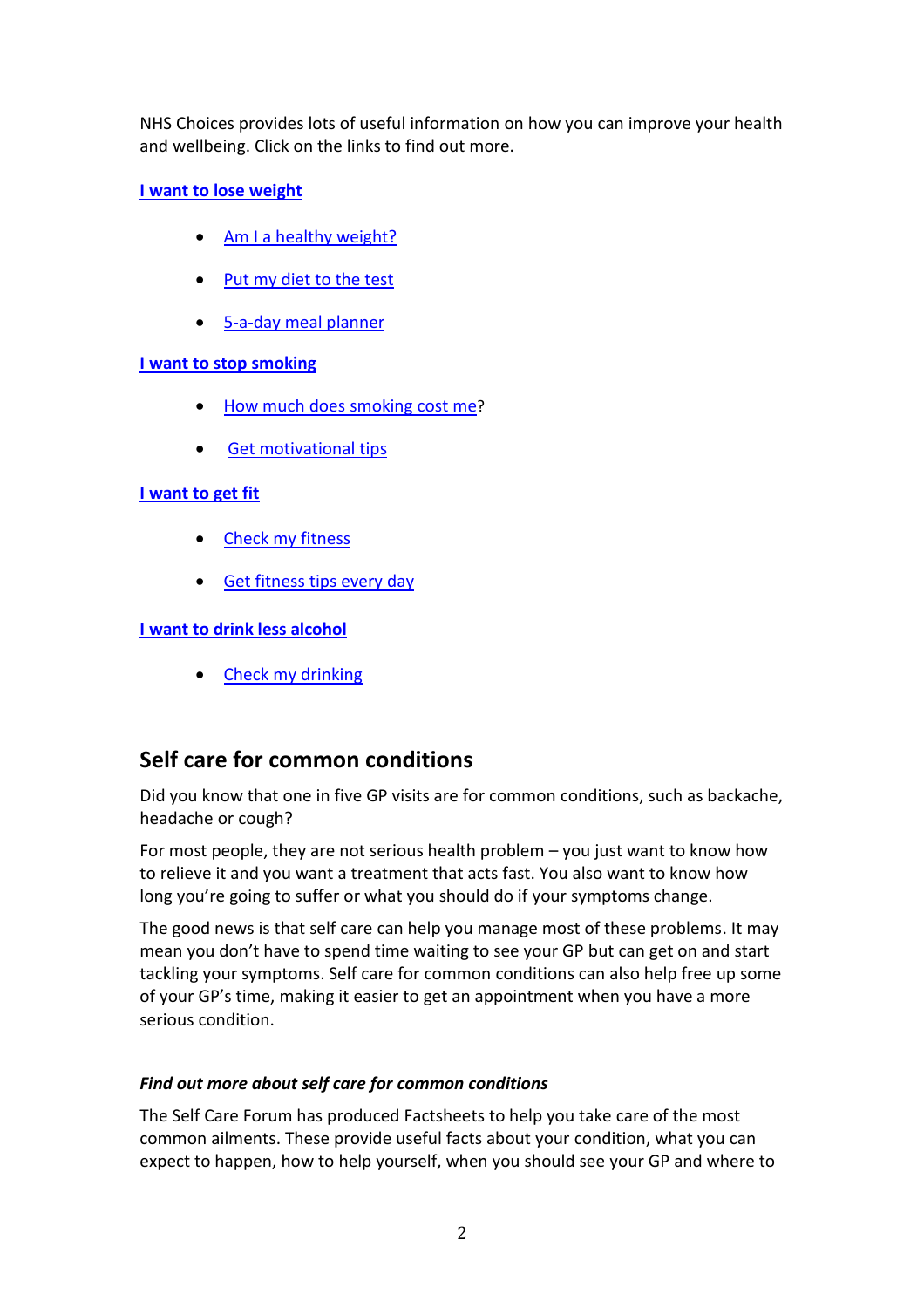NHS Choices provides lots of useful information on how you can improve your health and wellbeing. Click on the links to find out more.

#### **I want to [lose weight](http://www.nhs.uk/LiveWell/Loseweight/Pages/Loseweighthome.aspx)**

- [Am I a healthy weight?](http://www.nhs.uk/Tools/Pages/Healthyweightcalculator.aspx)
- Put my [diet to the test](http://www.nhs.uk/Tools/Pages/HealthyEating.aspx)
- [5-a-day meal planner](http://www.nhs.uk/Tools/Pages/5aday.aspx)

#### **[I want to stop smoking](http://www.nhs.uk/LiveWell/Smoking/Pages/stopsmokingnewhome.aspx)**

- [How much does smoking cost me](http://www.nhs.uk/Tools/Pages/Smoking.aspx)?
- [Get motivational tips](http://www.nhs.uk/Tools/Pages/Stopsmoking.aspx)

#### **[I want to get fit](http://www.nhs.uk/LiveWell/Fitness/Pages/Fitnesshome.aspx)**

- [Check my fitness](http://www.nhs.uk/Tools/Pages/Fitness.aspx)
- [Get fitness tips every day](http://www.nhs.uk/Tools/Pages/Widget.aspx)

#### **[I want to drink less alcohol](http://www.nhs.uk/LiveWell/Alcohol/Pages/Alcoholhome.aspx)**

• [Check my](http://www.nhs.uk/Tools/Pages/Alcoholcalculator.aspx) drinking

## **Self care for common conditions**

Did you know that one in five GP visits are for common conditions, such as backache, headache or cough?

For most people, they are not serious health problem – you just want to know how to relieve it and you want a treatment that acts fast. You also want to know how long you're going to suffer or what you should do if your symptoms change.

The good news is that self care can help you manage most of these problems. It may mean you don't have to spend time waiting to see your GP but can get on and start tackling your symptoms. Self care for common conditions can also help free up some of your GP's time, making it easier to get an appointment when you have a more serious condition.

#### *Find out more about self care for common conditions*

The Self Care Forum has produced Factsheets to help you take care of the most common ailments. These provide useful facts about your condition, what you can expect to happen, how to help yourself, when you should see your GP and where to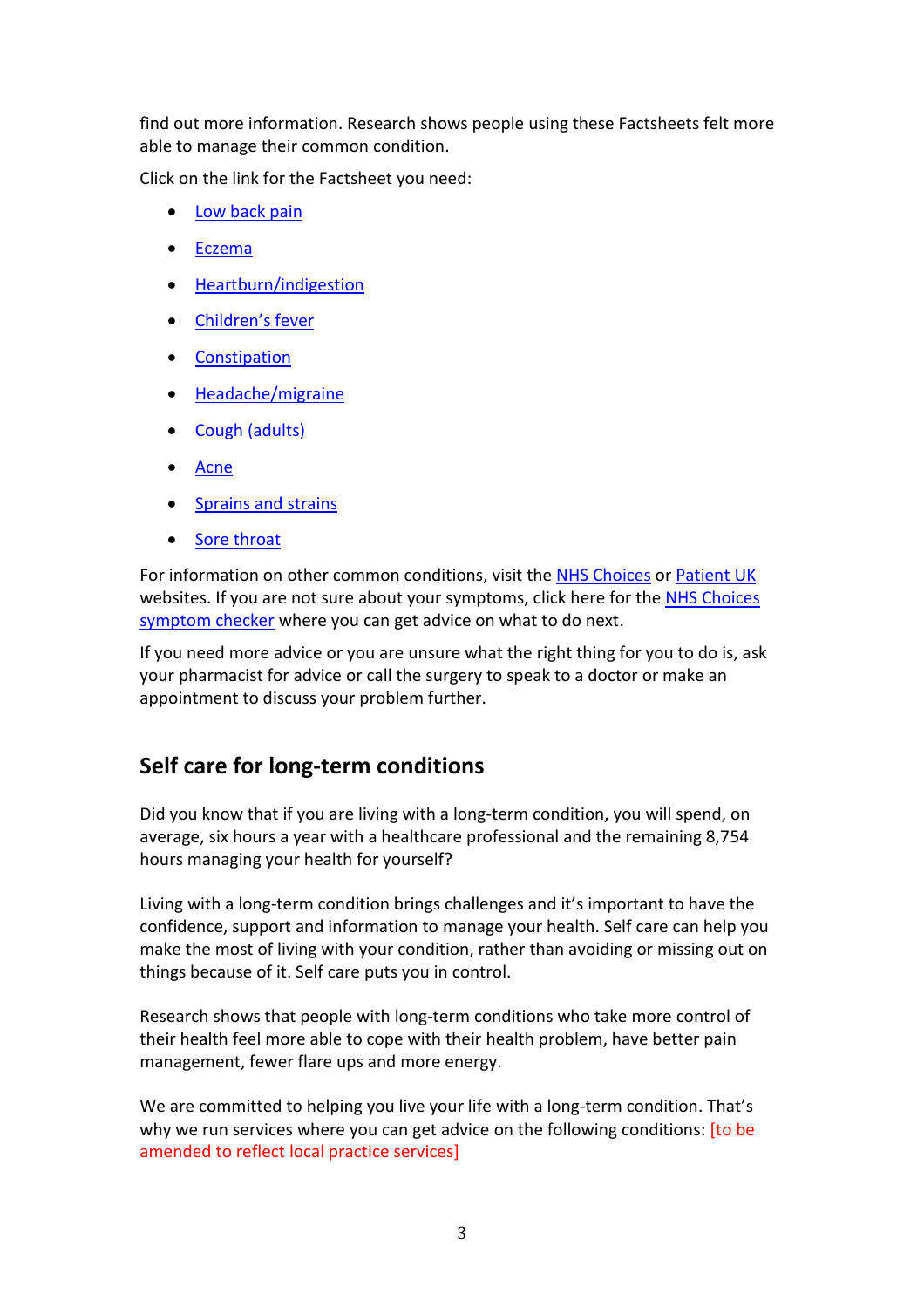find out more information. Research shows people using these Factsheets felt more able to manage their common condition.

Click on the link for the Factsheet you need:

- [Low back pain](http://www.selfcareforum.org/wp-content/uploads/2013/04/1-Back-Pain.pdf)
- [Eczema](http://www.selfcareforum.org/wp-content/uploads/2013/04/2-Eczema.pdf)
- [Heartburn/indigestion](http://www.selfcareforum.org/wp-content/uploads/2013/04/3-Heartburn-and-indigestion.pdf)
- Childre[n's fever](http://www.selfcareforum.org/wp-content/uploads/2013/04/4-Fever-in-Children.pdf)
- **[Constipation](http://www.selfcareforum.org/wp-content/uploads/2013/04/5-Constipation.pdf)**
- [Headache/migraine](http://www.selfcareforum.org/wp-content/uploads/2013/04/6-Headache.pdf)
- [Cough \(adults\)](http://www.selfcareforum.org/wp-content/uploads/2013/04/7-Cough.pdf)
- [Acne](http://www.selfcareforum.org/wp-content/uploads/2013/04/8-Acne.pdf)
- [Sprains and strains](http://www.selfcareforum.org/wp-content/uploads/2013/04/9-Sprains-and-strains.pdf)
- [Sore throat](http://www.selfcareforum.org/wp-content/uploads/2013/04/10-Sore-Throat.pdf)

For information on other common conditions, visit the [NHS Choices](http://www.nhs.uk/Pages/HomePage.aspx) or [Patient UK](http://www.patient.co.uk/) websites. If you are not sure about your symptoms, click here for the **NHS Choices** [symptom checker](http://www.nhs.uk/nhsdirect/Pages/Symptoms.aspx) where you can get advice on what to do next.

If you need more advice or you are unsure what the right thing for you to do is, ask your pharmacist for advice or call the surgery to speak to a doctor or make an appointment to discuss your problem further.

### **Self care for long-term conditions**

Did you know that if you are living with a long-term condition, you will spend, on average, six hours a year with a healthcare professional and the remaining 8,754 hours managing your health for yourself?

Living with a long-term condition brings challenges and it's important to have the confidence, support and information to manage your health. Self care can help you make the most of living with your condition, rather than avoiding or missing out on things because of it. Self care puts you in control.

Research shows that people with long-term conditions who take more control of their health feel more able to cope with their health problem, have better pain management, fewer flare ups and more energy.

We are committed to helping you live your life with a long-term condition. That's why we run services where you can get advice on the following conditions: [to be amended to reflect local practice services]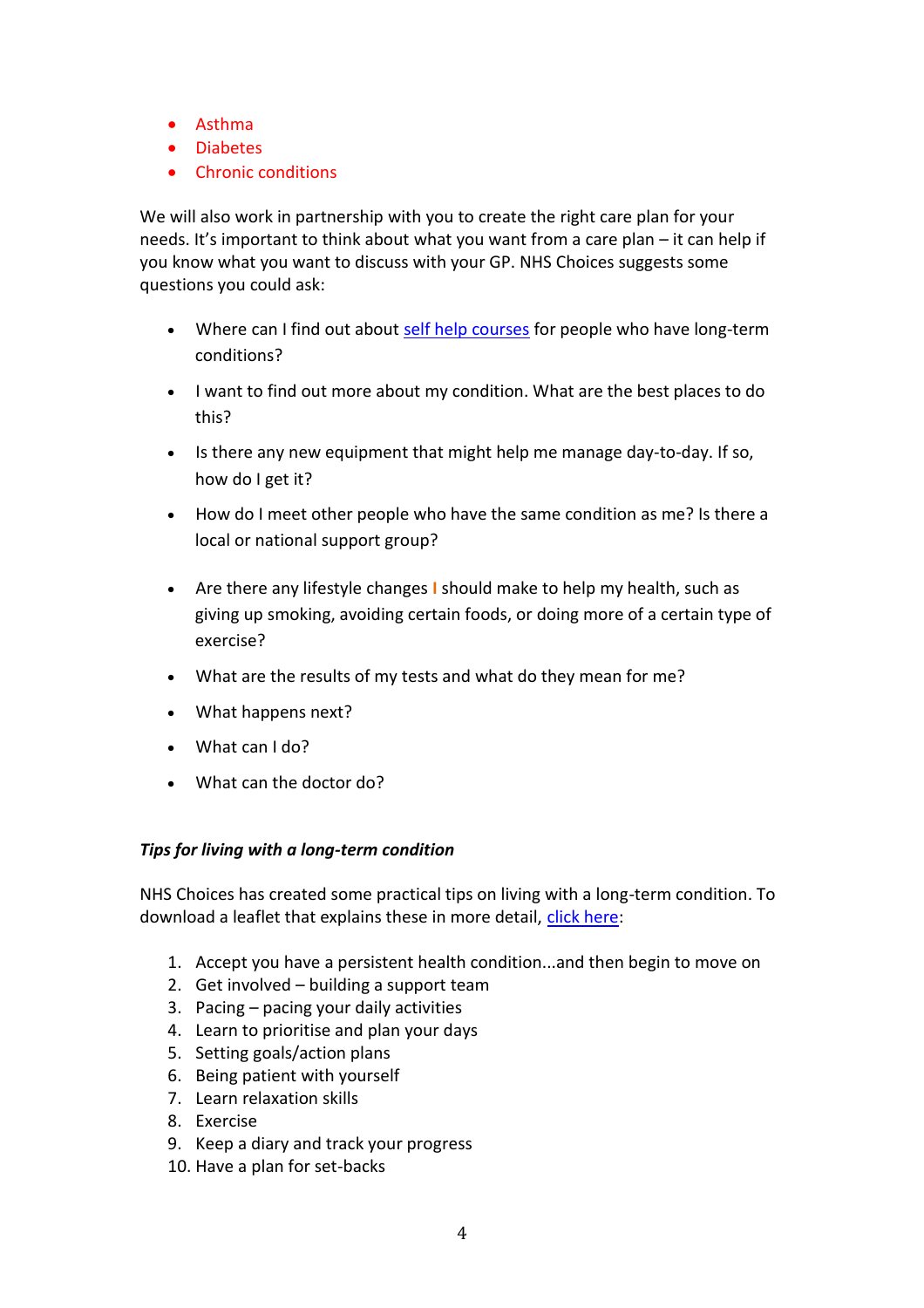- Asthma
- Diabetes
- Chronic conditions

We will also work in partnership with you to create the right care plan for your needs. It's important to think about what you want from a care plan – it can help if you know what you want to discuss with your GP. NHS Choices suggests some questions you could ask:

- Where can I find out about [self help courses](http://www.nhs.uk/Planners/Yourhealth/Pages/Takeacourse.aspx) for people who have long-term conditions?
- I want to find out more about my condition. What are the best places to do this?
- Is there any new equipment that might help me manage day-to-day. If so, how do I get it?
- How do I meet other people who have the same condition as me? Is there a local or national support group?
- Are there any lifestyle changes **I** should make to help my health, such as giving up smoking, avoiding certain foods, or doing more of a certain type of exercise?
- What are the results of my tests and what do they mean for me?
- What happens next?
- What can I do?
- What can the doctor do?

#### *Tips for living with a long-term condition*

NHS Choices has created some practical tips on living with a long-term condition. To download a leaflet that explains these in more detail, [click here:](http://www.nhs.uk/Planners/Yourhealth/Documents/Self%20Care%20Toolkit%20Booklet%20-%20Oct%2010%20-%20READ.pdf)

- 1. Accept you have a persistent health condition...and then begin to move on
- 2. Get involved building a support team
- 3. Pacing pacing your daily activities
- 4. Learn to prioritise and plan your days
- 5. Setting goals/action plans
- 6. Being patient with yourself
- 7. Learn relaxation skills
- 8. Exercise
- 9. Keep a diary and track your progress
- 10. Have a plan for set-backs